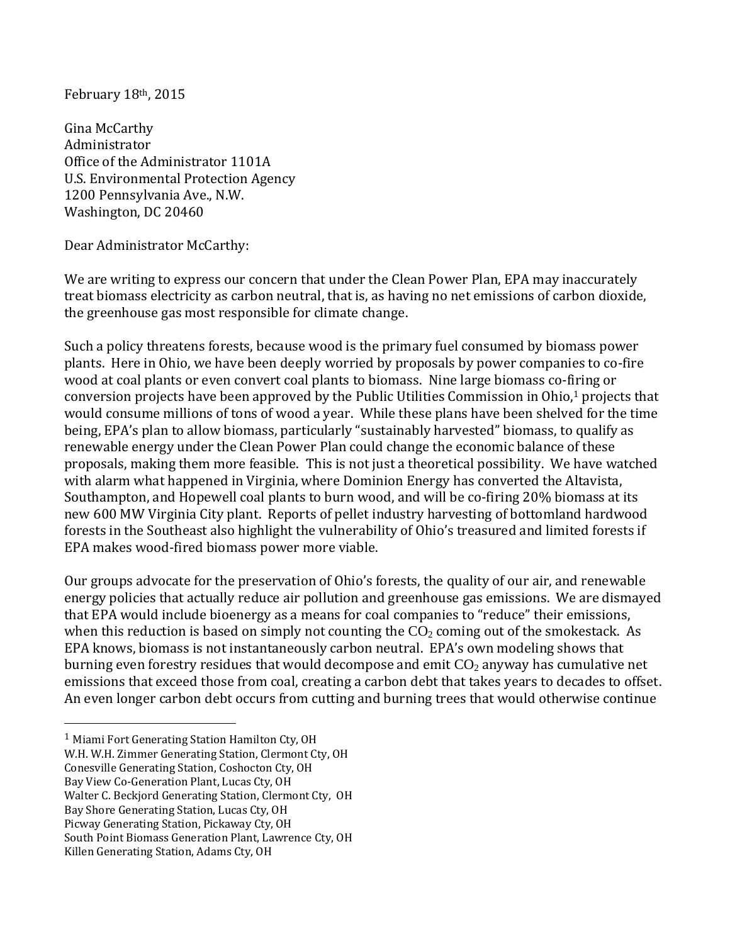February 18th, 2015

Gina McCarthy Administrator Office of the Administrator 1101A U.S. Environmental Protection Agency 1200 Pennsylvania Ave., N.W. Washington, DC 20460

Dear Administrator McCarthy:

We are writing to express our concern that under the Clean Power Plan, EPA may inaccurately treat biomass electricity as carbon neutral, that is, as having no net emissions of carbon dioxide, the greenhouse gas most responsible for climate change.

Such a policy threatens forests, because wood is the primary fuel consumed by biomass power plants. Here in Ohio, we have been deeply worried by proposals by power companies to co-fire wood at coal plants or even convert coal plants to biomass. Nine large biomass co-firing or conversion projects have been approved by the Public Utilities Commission in Ohio,<sup>1</sup> projects that would consume millions of tons of wood a year. While these plans have been shelved for the time being, EPA's plan to allow biomass, particularly "sustainably harvested" biomass, to qualify as renewable energy under the Clean Power Plan could change the economic balance of these proposals, making them more feasible. This is not just a theoretical possibility. We have watched with alarm what happened in Virginia, where Dominion Energy has converted the Altavista, Southampton, and Hopewell coal plants to burn wood, and will be co-firing 20% biomass at its new 600 MW Virginia City plant. Reports of pellet industry harvesting of bottomland hardwood forests in the Southeast also highlight the vulnerability of Ohio's treasured and limited forests if EPA makes wood-fired biomass power more viable.

Our groups advocate for the preservation of Ohio's forests, the quality of our air, and renewable energy policies that actually reduce air pollution and greenhouse gas emissions. We are dismayed that EPA would include bioenergy as a means for coal companies to "reduce" their emissions, when this reduction is based on simply not counting the  $CO<sub>2</sub>$  coming out of the smokestack. As EPA knows, biomass is not instantaneously carbon neutral. EPA's own modeling shows that burning even forestry residues that would decompose and emit  $CO<sub>2</sub>$  anyway has cumulative net emissions that exceed those from coal, creating a carbon debt that takes years to decades to offset. An even longer carbon debt occurs from cutting and burning trees that would otherwise continue

 $\overline{a}$ 

<sup>1</sup> Miami Fort Generating Station Hamilton Cty, OH

W.H. W.H. Zimmer Generating Station, Clermont Cty, OH

Conesville Generating Station, Coshocton Cty, OH

Bay View Co-Generation Plant, Lucas Cty, OH

Walter C. Beckjord Generating Station, Clermont Cty, OH

Bay Shore Generating Station, Lucas Cty, OH

Picway Generating Station, Pickaway Cty, OH

South Point Biomass Generation Plant, Lawrence Cty, OH

Killen Generating Station, Adams Cty, OH